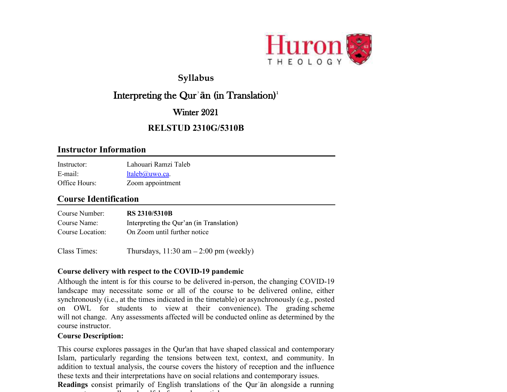

## Syllabus

# Interpreting the Qur'an (in Translation)<sup>1</sup>

## Winter 2021

## RELSTUD 2310G/5310B

### Instructor Information

| Instructor:   | Lahouari Ramzi Taleb        |
|---------------|-----------------------------|
| $E$ -mail:    | $ltaleb$ <i>(a)</i> uwo.ca. |
| Office Hours: | Zoom appointment            |

## Course Identification

| Course Number:   | <b>RS 2310/5310B</b>                     |
|------------------|------------------------------------------|
| Course Name:     | Interpreting the Qur'an (in Translation) |
| Course Location: | On Zoom until further notice             |
|                  |                                          |

Class Times: Thursdays,  $11:30 \text{ am} - 2:00 \text{ pm}$  (weekly)

### Course delivery with respect to the COVID-19 pandemic

Although the intent is for this course to be delivered in-person, the changing COVID-19 landscape may necessitate some or all of the course to be delivered online, either synchronously (i.e., at the times indicated in the timetable) or asynchronously (e.g., posted on OWL for students to view at their convenience). The grading scheme will not change. Any assessments affected will be conducted online as determined by the course instructor.

#### Course Description:

This course explores passages in the Qur'an that have shaped classical and contemporary Islam, particularly regarding the tensions between text, context, and community. In addition to textual analysis, the course covers the history of reception and the influence these texts and their interpretations have on social relations and contemporary issues.

**Readings** consist primarily of English translations of the Qur'an alongside a running commentary, as well as a handful of secondary as well as well as well as a handful of secondary articles are a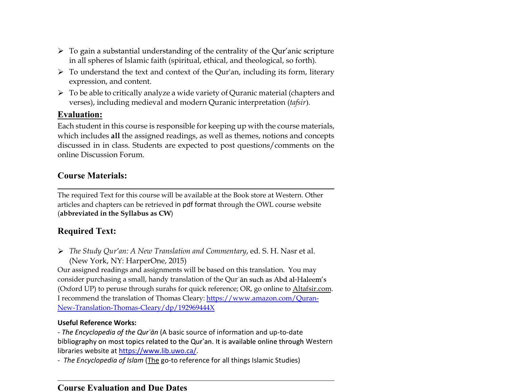- $\triangleright$  To gain a substantial understanding of the centrality of the Qur'anic scripture in all spheres of Islamic faith (spiritual, ethical, and theological, so forth).
- $\triangleright$  To understand the text and context of the Qur'an, including its form, literary expression, and content.
- $\triangleright$  To be able to critically analyze a wide variety of Quranic material (chapters and verses), including medieval and modern Quranic interpretation (tafsir).

## Evaluation:

Each student in this course is responsible for keeping up with the course materials, which includes all the assigned readings, as well as themes, notions and concepts discussed in in class. Students are expected to post questions/comments on the online Discussion Forum.

## Course Materials:

The required Text for this course will be available at the Book store at Western. Other articles and chapters can be retrieved in pdf format through the OWL course website (abbreviated in the Syllabus as CW)

## Required Text:

 $\triangleright$  The Study Qur'an: A New Translation and Commentary, ed. S. H. Nasr et al. (New York, NY: HarperOne, 2015)

Our assigned readings and assignments will be based on this translation. You may consider purchasing a small, handy translation of the Qur'an such as Abd al-Haleem's (Oxford UP) to peruse through surahs for quick reference; OR, go online to Altafsir.com. I recommend the translation of Thomas Cleary: https://www.amazon.com/Quran-New-Translation-Thomas-Cleary/dp/192969444X

### Useful Reference Works:

- The Encyclopedia of the Qur'ān (A basic source of information and up-to-date bibliography on most topics related to the Qur'an. It is available online through Western libraries website at https://www.lib.uwo.ca/.

- The Encyclopedia of Islam (The go-to reference for all things Islamic Studies)

#### Course Evaluation and Due Dates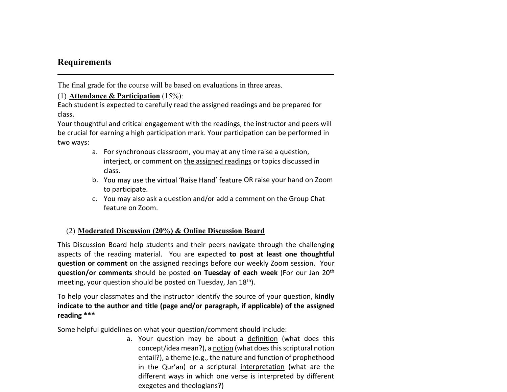## Requirements

The final grade for the course will be based on evaluations in three areas.

(1) Attendance & Participation (15%):

Each student is expected to carefully read the assigned readings and be prepared for class.

Your thoughtful and critical engagement with the readings, the instructor and peers will be crucial for earning a high participation mark. Your participation can be performed in two ways:

- a. For synchronous classroom, you may at any time raise a question, interject, or comment on the assigned readings or topics discussed in class.
- b. You may use the virtual 'Raise Hand' feature OR raise your hand on Zoom to participate.
- c. You may also ask a question and/or add a comment on the Group Chat feature on Zoom.

### (2) Moderated Discussion (20%) & Online Discussion Board

This Discussion Board help students and their peers navigate through the challenging aspects of the reading material. You are expected to post at least one thoughtful question or comment on the assigned readings before our weekly Zoom session. Your question/or comments should be posted on Tuesday of each week (For our Jan 20<sup>th</sup> meeting, your question should be posted on Tuesday, Jan 18<sup>th</sup>).

To help your classmates and the instructor identify the source of your question, kindly indicate to the author and title (page and/or paragraph, if applicable) of the assigned reading \*\*\*

Some helpful guidelines on what your question/comment should include:

a. Your question may be about a definition (what does this concept/idea mean?), a notion (what does this scriptural notion entail?), a theme (e.g., the nature and function of prophethood in the Qur'an) or a scriptural interpretation (what are the different ways in which one verse is interpreted by different exegetes and theologians?)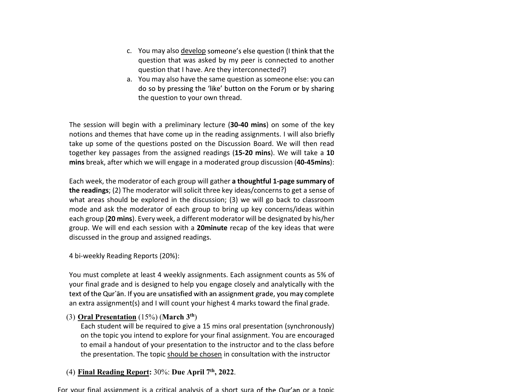- c. You may also develop someone's else question (I think that the question that was asked by my peer is connected to another question that I have. Are they interconnected?)
- a. You may also have the same question as someone else: you can do so by pressing the 'like' button on the Forum or by sharing the question to your own thread.

The session will begin with a preliminary lecture (30-40 mins) on some of the key notions and themes that have come up in the reading assignments. I will also briefly take up some of the questions posted on the Discussion Board. We will then read together key passages from the assigned readings (15-20 mins). We will take a 10 mins break, after which we will engage in a moderated group discussion (40-45mins):

Each week, the moderator of each group will gather a thoughtful 1-page summary of the readings; (2) The moderator will solicit three key ideas/concerns to get a sense of what areas should be explored in the discussion; (3) we will go back to classroom mode and ask the moderator of each group to bring up key concerns/ideas within each group (20 mins). Every week, a different moderator will be designated by his/her group. We will end each session with a 20minute recap of the key ideas that were discussed in the group and assigned readings.

4 bi-weekly Reading Reports (20%):

You must complete at least 4 weekly assignments. Each assignment counts as 5% of your final grade and is designed to help you engage closely and analytically with the text of the Qur'an. If you are unsatisfied with an assignment grade, you may complete an extra assignment(s) and I will count your highest 4 marks toward the final grade.

#### (3) Oral Presentation (15%) (March 3th)

Each student will be required to give a 15 mins oral presentation (synchronously) on the topic you intend to explore for your final assignment. You are encouraged to email a handout of your presentation to the instructor and to the class before the presentation. The topic should be chosen in consultation with the instructor

#### (4) Final Reading Report: 30%: Due April 7th, 2022.

For your final assignment is a critical analysis of a short sura of the Qur'an or a topic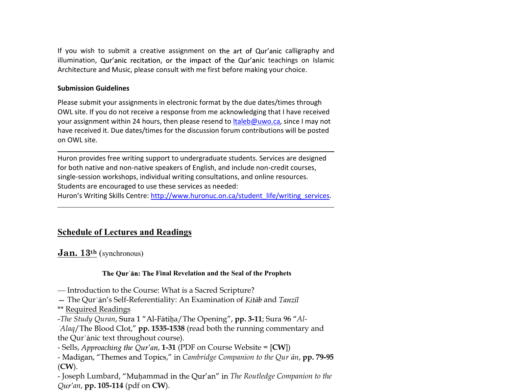If you wish to submit a creative assignment on the art of Qur'anic calligraphy and illumination, Qur'anic recitation, or the impact of the Qur'anic teachings on Islamic Architecture and Music, please consult with me first before making your choice.

#### Submission Guidelines

Please submit your assignments in electronic format by the due dates/times through OWL site. If you do not receive a response from me acknowledging that I have received your assignment within 24 hours, then please resend to ltaleb@uwo.ca, since I may not have received it. Due dates/times for the discussion forum contributions will be posted on OWL site.

Huron provides free writing support to undergraduate students. Services are designed for both native and non-native speakers of English, and include non-credit courses, single-session workshops, individual writing consultations, and online resources. Students are encouraged to use these services as needed: Huron's Writing Skills Centre: http://www.huronuc.on.ca/student\_life/writing\_services.

## Schedule of Lectures and Readings

**Jan.**  $13<sup>th</sup>$  (synchronous)

#### The Our an: The Final Revelation and the Seal of the Prophets

- Introduction to the Course: What is a Sacred Scripture?
- The Qur'an's Self-Referentiality: An Examination of Kitab and Tanzīl

\*\* Required Readings

-The Study Quran, Sura 1 "Al-Fātiḥa/The Opening", pp. 3-11; Sura 96 "Al-

'Alaq/The Blood Clot,"  $pp. 1535-1538$  (read both the running commentary and the Qur'ānic text throughout course).

- Sells, Approaching the Qur'an,  $1-31$  (PDF on Course Website =  $[CW]$ )

- Madigan, "Themes and Topics," in Cambridge Companion to the Qur'an, pp. 79-95 (CW).

- Joseph Lumbard, "Muhammad in the Qur'an" in The Routledge Companion to the  $Our'an$ , pp. 105-114 (pdf on CW).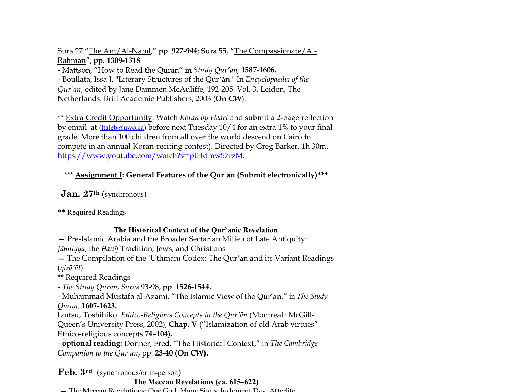Sura 27 "The Ant/Al-Naml,"  $pp. 927-944$ ; Sura 55, "The Compassionate/Al-Rahmān", pp. 1309-1318

- Mattson, "How to Read the Quran" in Study Qur'an, 1587-1606.

- Boullata, Issa J. "Literary Structures of the Qur'an." In Encyclopaedia of the Qur'an, edited by Jane Dammen McAuliffe, 192-205. Vol. 3. Leiden, The Netherlands: Brill Academic Publishers, 2003 (On CW).

\*\* Extra Credit Opportunity: Watch Koran by Heart and submit a 2-page reflection by email at (ltaleb@uwo.ca) before next Tuesday 10/4 for an extra 1% to your final grade. More than 100 children from all over the world descend on Cairo to compete in an annual Koran-reciting contest). Directed by Greg Barker, 1h 30m. https://www.youtube.com/watch?v=ptHdmw57rzM.

## \*\*\* Assignment I: General Features of the Qur'an (Submit electronically)\*\*\*

Jan. 27th (synchronous)

\*\* Required Readings

### The Historical Context of the Qur'anic Revelation

- Pre-Islamic Arabia and the Broader Sectarian Milieu of Late Antiquity: Jāhiliyya, the Hanīf Tradition, Jews, and Christians

- The Compilation of the 'Uthmani Codex: The Qur' an and its Variant Readings  $\left( \vec{q} \right)$  at  $\left( \vec{q} \right)$ 

\*\* Required Readings

- The Study Quran, Suras 93-98, pp. 1526-1544.

- Muhammad Mustafa al-Azami, "The Islamic View of the Qur'an," in The Study Quran, 1607-1623.

Izutsu, Toshihiko. Ethico-Religious Concepts in the Qur'ān (Montreal: McGill-Queen's University Press, 2002), Chap. V ("Islamization of old Arab virtues" Ethico-religious concepts 74-104).

- **optional reading**: Donner, Fred, "The Historical Context," in The Cambridge Companion to the Qur'an, pp.  $23-40$  (On CW).

Feb. 3rd (synchronous/or in-person)

#### The Meccan Revelations (ca. 615–622)

The Meccan Revelations: One God, Many Signs, Judgment Day, Afterlife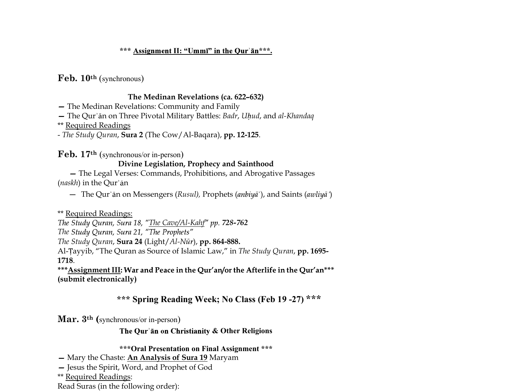#### \*\*\* Assignment II: "Ummī" in the Qur'ān\*\*\*.

Feb. 10th (synchronous)

#### The Medinan Revelations (ca. 622-632)

- The Medinan Revelations: Community and Family

- The Qur'an on Three Pivotal Military Battles: Badr, Uhud, and al-Khandaq

\*\* Required Readings

- The Study Quran, Sura 2 (The Cow/Al-Baqara), pp. 12-125.

Feb. 17th (synchronous/or in-person)

### Divine Legislation, Prophecy and Sainthood

 The Legal Verses: Commands, Prohibitions, and Abrogative Passages  $(naskh)$  in the Qur'an

- The Qur'ān on Messengers (Rusul), Prophets (anbiya<sup>"</sup>), and Saints (awliya<sup>"</sup>)

\*\* Required Readings:

The Study Quran, Sura 18, "The Cave/Al-Kahf" pp. 728-762

The Study Quran, Sura 21, "The Prophets"

The Study Quran, Sura 24 (Light/Al-Nūr), pp. 864-888.

Al-Tayyib, "The Quran as Source of Islamic Law," in The Study Quran, pp. 1695-1718.

\*\*\*Assignment III: War and Peace in the Qur'an/or the Afterlife in the Qur'an\*\*\* (submit electronically)

## \*\*\* Spring Reading Week; No Class (Feb 19 -27) \*\*\*

Mar. 3<sup>th</sup> (synchronous/or in-person)

The Qur'an on Christianity & Other Religions

\*\*\*Oral Presentation on Final Assignment \*\*\*

- Mary the Chaste: An Analysis of Sura 19 Maryam

- Jesus the Spirit, Word, and Prophet of God

\*\* Required Readings:

Read Suras (in the following order):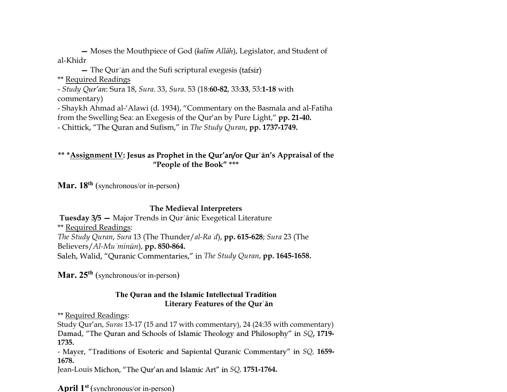- Moses the Mouthpiece of God (kalīm Allāh), Legislator, and Student of al-Khidr

 $-$  The Qur' an and the Sufi scriptural exegesis (tafsir)

\*\* Required Readings

- Study Qur'an: Sura 18, Sura. 33, Sura. 53 (18:60-82, 33:33, 53:1-18 with commentary)

- Shaykh Ahmad al-'Alawi (d. 1934), "Commentary on the Basmala and al-Fatiha from the Swelling Sea: an Exegesis of the Qur'an by Pure Light," **pp. 21-40.** 

- Chittick, "The Quran and Sufism," in The Study Quran, pp. 1737-1749.

\*\* \***Assignment IV:** Jesus as Prophet in the Qur'an/or Qur'an's Appraisal of the "People of the Book" \*\*\*

**Mar. 18<sup>th</sup>** (synchronous/or in-person)

### The Medieval Interpreters

Tuesday 3/5 - Major Trends in Qur'anic Exegetical Literature \*\* Required Readings: The Study Quran, Sura 13 (The Thunder/al-Ra d), pp. 615-628; Sura 23 (The Believers/Al-Mu'minūn), pp. 850-864. Saleh, Walid, "Quranic Commentaries," in The Study Quran, pp. 1645-1658.

**Mar. 25<sup>th</sup>** (synchronous/or in-person)

### The Quran and the Islamic Intellectual Tradition Literary Features of the Qur'an

\*\* Required Readings:

Study Qur'an, Suras 13-17 (15 and 17 with commentary), 24 (24:35 with commentary) Damad, "The Quran and Schools of Islamic Theology and Philosophy" in SQ, 1719-1735.

- Mayer, "Traditions of Esoteric and Sapiental Quranic Commentary" in SQ, 1659-1678.

Jean-Louis Michon, "The Qur'an and Islamic Art" in SQ, 1751-1764.

April  $1^{st}$  (synchronous/or in-person)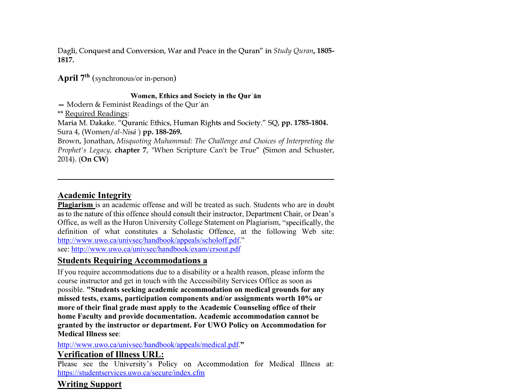Dagli, Conquest and Conversion, War and Peace in the Quran'' in *Study Quran*, 1805-1817.

April  $7<sup>th</sup>$  (synchronous/or in-person)

#### Women, Ethics and Society in the Qur'an

 $-$  Modern & Feminist Readings of the Qur'an

\*\* Required Readings:

Maria M. Dakake. "Quranic Ethics, Human Rights and Society." SQ, pp. 1785-1804. Sura 4, (Women/al-Nisā<sup>\*</sup>) pp. 188-269.

Brown, Jonathan, Misquoting Muhammad: The Challenge and Choices of Interpreting the Prophet's Legacy, chapter 7, "When Scripture Can't be True" (Simon and Schuster, 2014). (On CW)

## Academic Integrity

Plagiarism is an academic offense and will be treated as such. Students who are in doubt as to the nature of this offence should consult their instructor, Department Chair, or Dean's Office, as well as the Huron University College Statement on Plagiarism, "specifically, the definition of what constitutes a Scholastic Offence, at the following Web site: http://www.uwo.ca/univsec/handbook/appeals/scholoff.pdf." see: http://www.uwo.ca/univsec/handbook/exam/crsout.pdf

## Students Requiring Accommodations a

If you require accommodations due to a disability or a health reason, please inform the course instructor and get in touch with the Accessibility Services Office as soon as possible. "Students seeking academic accommodation on medical grounds for any missed tests, exams, participation components and/or assignments worth 10% or more of their final grade must apply to the Academic Counseling office of their home Faculty and provide documentation. Academic accommodation cannot be granted by the instructor or department. For UWO Policy on Accommodation for Medical Illness see:

### http://www.uwo.ca/univsec/handbook/appeals/medical.pdf."

### Verification of Illness URL:

Please see the University's Policy on Accommodation for Medical Illness at: https://studentservices.uwo.ca/secure/index.cfm

# Writing Support